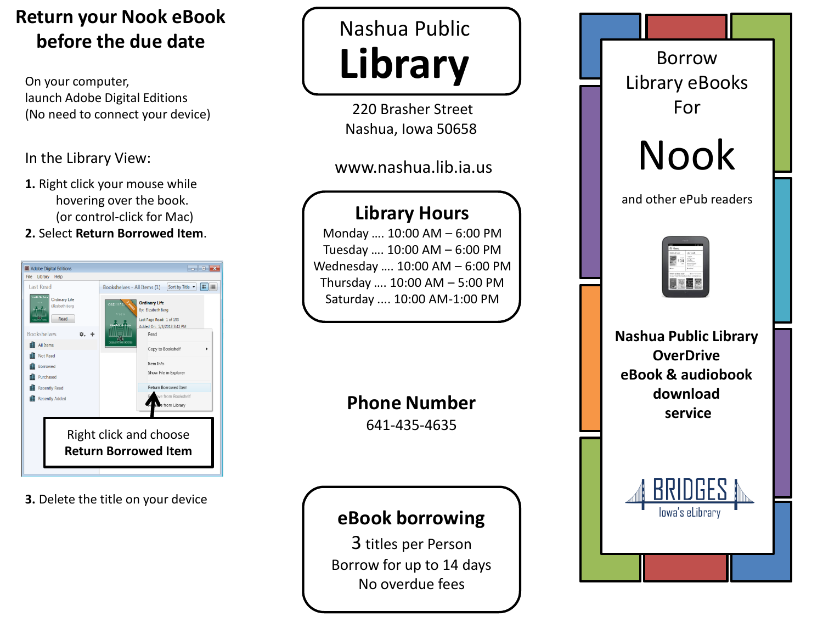# **Return your Nook eBook before the due date**

On your computer, launch Adobe Digital Editions (No need to connect your device)

### In the Library View:

**1.** Right click your mouse while hovering over the book. (or control-click for Mac)

#### **2.** Select **Return Borrowed Item**.



**3.** Delete the title on your device

# Nashua Public **Library**

220 Brasher Street Nashua, Iowa 50658

## www.nashua.lib.ia.us

## **Library Hours**

Monday …. 10:00 AM – 6:00 PM Tuesday …. 10:00 AM – 6:00 PM Wednesday …. 10:00 AM – 6:00 PM Thursday …. 10:00 AM – 5:00 PM Saturday .... 10:00 AM-1:00 PM

> **Phone Number** 641-435-4635

## **eBook borrowing**

3 titles per Person Borrow for up to 14 days No overdue fees

Borrow Library eBooks For

Nook

and other ePub readers



**Nashua Public Library OverDrive eBook & audiobook download service**